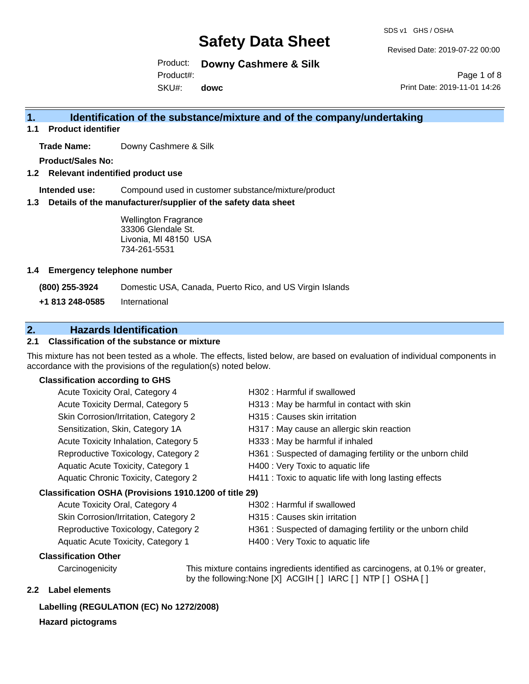SDS v1 GHS / OSHA

Revised Date: 2019-07-22 00:00

Product: **Downy Cashmere & Silk** Product#:

SKU#: **dowc**

Page 1 of 8 Print Date: 2019-11-01 14:26

## **1. Identification of the substance/mixture and of the company/undertaking**

**1.1 Product identifier**

**Trade Name:** Downy Cashmere & Silk

**Product/Sales No:**

**1.2 Relevant indentified product use**

**Intended use:** Compound used in customer substance/mixture/product

**1.3 Details of the manufacturer/supplier of the safety data sheet**

Wellington Fragrance 33306 Glendale St. Livonia, MI 48150 USA 734-261-5531

#### **1.4 Emergency telephone number**

**(800) 255-3924** Domestic USA, Canada, Puerto Rico, and US Virgin Islands

**+1 813 248-0585** International

# **2. Hazards Identification**

### **2.1 Classification of the substance or mixture**

This mixture has not been tested as a whole. The effects, listed below, are based on evaluation of individual components in accordance with the provisions of the regulation(s) noted below.

## **Classification according to GHS**

| Acute Toxicity Oral, Category 4                        | H302 : Harmful if swallowed                               |
|--------------------------------------------------------|-----------------------------------------------------------|
| Acute Toxicity Dermal, Category 5                      | H313 : May be harmful in contact with skin                |
| Skin Corrosion/Irritation, Category 2                  | H315 : Causes skin irritation                             |
| Sensitization, Skin, Category 1A                       | H317 : May cause an allergic skin reaction                |
| Acute Toxicity Inhalation, Category 5                  | H333: May be harmful if inhaled                           |
| Reproductive Toxicology, Category 2                    | H361: Suspected of damaging fertility or the unborn child |
| Aquatic Acute Toxicity, Category 1                     | H400 : Very Toxic to aquatic life                         |
| Aquatic Chronic Toxicity, Category 2                   | H411 : Toxic to aquatic life with long lasting effects    |
| Classification OSHA (Provisions 1910.1200 of title 29) |                                                           |
| Acute Toxicity Oral, Category 4                        | H302 : Harmful if swallowed                               |
| Skin Corrosion/Irritation, Category 2                  | H315 : Causes skin irritation                             |
| Reproductive Toxicology, Category 2                    | H361: Suspected of damaging fertility or the unborn child |
| Aquatic Acute Toxicity, Category 1                     | H400 : Very Toxic to aquatic life                         |

### **Classification Other**

Carcinogenicity This mixture contains ingredients identified as carcinogens, at 0.1% or greater, by the following:None [X] ACGIH [ ] IARC [ ] NTP [ ] OSHA [ ]

## **2.2 Label elements**

#### **Labelling (REGULATION (EC) No 1272/2008)**

### **Hazard pictograms**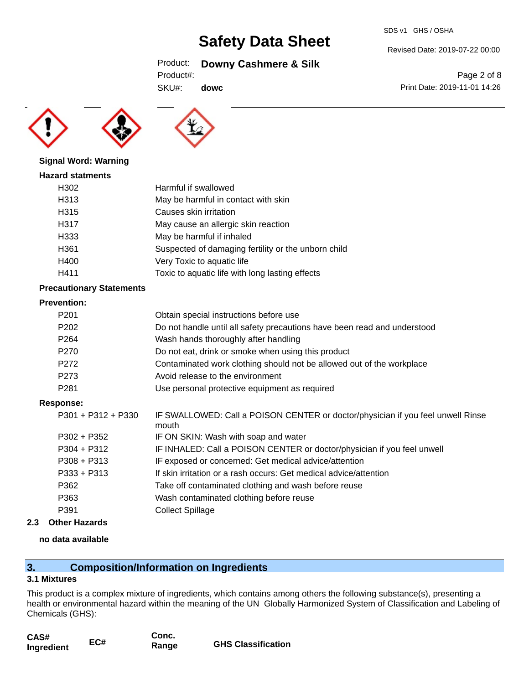#### SDS v1 GHS / OSHA

# **Safety Data Sheet**

## Product: **Downy Cashmere & Silk**

SKU#: **dowc**

## Page 2 of 8 Print Date: 2019-11-01 14:26

Revised Date: 2019-07-22 00:00





#### **Signal Word: Warning**

#### **Hazard statments**

| H302             | Harmful if swallowed                                |
|------------------|-----------------------------------------------------|
| H313             | May be harmful in contact with skin                 |
| H315             | Causes skin irritation                              |
| H317             | May cause an allergic skin reaction                 |
| H333             | May be harmful if inhaled                           |
| H <sub>361</sub> | Suspected of damaging fertility or the unborn child |
| H400             | Very Toxic to aquatic life                          |
| H411             | Toxic to aquatic life with long lasting effects     |
|                  |                                                     |

## **Precautionary Statements**

#### **Prevention:**

| P <sub>201</sub> | Obtain special instructions before use                                   |
|------------------|--------------------------------------------------------------------------|
| P202             | Do not handle until all safety precautions have been read and understood |
| P <sub>264</sub> | Wash hands thoroughly after handling                                     |
| P270             | Do not eat, drink or smoke when using this product                       |
| P <sub>272</sub> | Contaminated work clothing should not be allowed out of the workplace    |
| P273             | Avoid release to the environment                                         |
| P <sub>281</sub> | Use personal protective equipment as required                            |

### **Response:**

| P301 + P312 + P330 | IF SWALLOWED: Call a POISON CENTER or doctor/physician if you feel unwell Rinse<br>mouth |
|--------------------|------------------------------------------------------------------------------------------|
| P302 + P352        | IF ON SKIN: Wash with soap and water                                                     |
| P304 + P312        | IF INHALED: Call a POISON CENTER or doctor/physician if you feel unwell                  |
| P308 + P313        | IF exposed or concerned: Get medical advice/attention                                    |
| P333 + P313        | If skin irritation or a rash occurs: Get medical advice/attention                        |
| P362               | Take off contaminated clothing and wash before reuse                                     |
| P363               | Wash contaminated clothing before reuse                                                  |
| P391               | <b>Collect Spillage</b>                                                                  |

**2.3 Other Hazards**

### **no data available**

# **3. Composition/Information on Ingredients**

### **3.1 Mixtures**

This product is a complex mixture of ingredients, which contains among others the following substance(s), presenting a health or environmental hazard within the meaning of the UN Globally Harmonized System of Classification and Labeling of Chemicals (GHS):

| CAS#       |     | Conc. |                           |
|------------|-----|-------|---------------------------|
| Ingredient | EC# | Range | <b>GHS Classification</b> |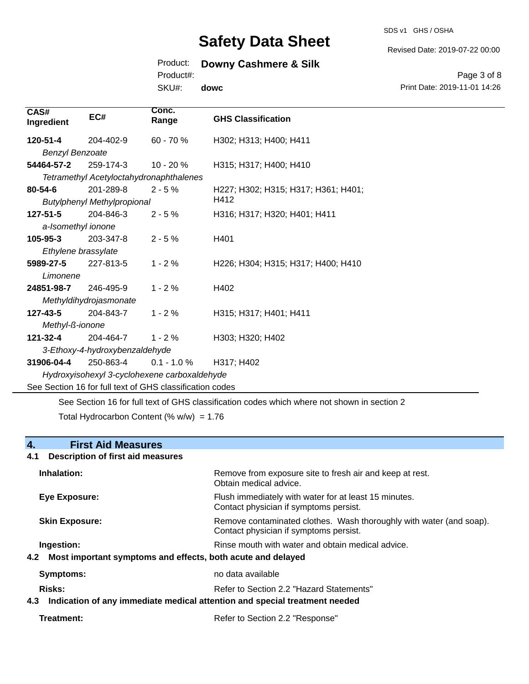SDS v1 GHS / OSHA

Revised Date: 2019-07-22 00:00

# Product: **Downy Cashmere & Silk**

Product#:

SKU#: **dowc**

Page 3 of 8 Print Date: 2019-11-01 14:26

| CAS#<br>Ingredient     | EC#                                                      | Conc.<br>Range | <b>GHS Classification</b>                                                                   |
|------------------------|----------------------------------------------------------|----------------|---------------------------------------------------------------------------------------------|
| 120-51-4               | 204-402-9                                                | 60 - 70 %      | H302; H313; H400; H411                                                                      |
| <b>Benzyl Benzoate</b> |                                                          |                |                                                                                             |
| 54464-57-2             | 259-174-3                                                | $10 - 20%$     | H315; H317; H400; H410                                                                      |
|                        | Tetramethyl Acetyloctahydronaphthalenes                  |                |                                                                                             |
| $80 - 54 - 6$          | 201-289-8                                                | $2 - 5%$       | H227; H302; H315; H317; H361; H401;                                                         |
|                        | <b>Butylphenyl Methylpropional</b>                       |                | H412                                                                                        |
| 127-51-5               | 204-846-3                                                | $2 - 5%$       | H316; H317; H320; H401; H411                                                                |
| a-Isomethyl ionone     |                                                          |                |                                                                                             |
| 105-95-3               | 203-347-8                                                | $2 - 5%$       | H401                                                                                        |
| Ethylene brassylate    |                                                          |                |                                                                                             |
| 5989-27-5              | 227-813-5                                                | $1 - 2%$       | H226; H304; H315; H317; H400; H410                                                          |
| Limonene               |                                                          |                |                                                                                             |
| 24851-98-7             | 246-495-9                                                | $1 - 2%$       | H402                                                                                        |
|                        | Methyldihydrojasmonate                                   |                |                                                                                             |
| 127-43-5               | 204-843-7                                                | $1 - 2%$       | H315; H317; H401; H411                                                                      |
| Methyl-ß-ionone        |                                                          |                |                                                                                             |
| $121 - 32 - 4$         | 204-464-7                                                | $1 - 2%$       | H303; H320; H402                                                                            |
|                        | 3-Ethoxy-4-hydroxybenzaldehyde                           |                |                                                                                             |
| 31906-04-4             | 250-863-4                                                | $0.1 - 1.0 %$  | H317; H402                                                                                  |
|                        | Hydroxyisohexyl 3-cyclohexene carboxaldehyde             |                |                                                                                             |
|                        | See Section 16 for full text of GHS classification codes |                |                                                                                             |
|                        |                                                          |                | See Section 16 for full text of GHS classification codes which where not shown in section 2 |

Total Hydrocarbon Content (%  $w/w$ ) = 1.76

# **4. First Aid Measures**

## **4.1 Description of first aid measures**

| Inhalation:                                                                                 | Remove from exposure site to fresh air and keep at rest.<br>Obtain medical advice.                            |  |
|---------------------------------------------------------------------------------------------|---------------------------------------------------------------------------------------------------------------|--|
| Eye Exposure:                                                                               | Flush immediately with water for at least 15 minutes.<br>Contact physician if symptoms persist.               |  |
| <b>Skin Exposure:</b>                                                                       | Remove contaminated clothes. Wash thoroughly with water (and soap).<br>Contact physician if symptoms persist. |  |
| Ingestion:<br>Most important symptoms and effects, both acute and delayed<br>4.2            | Rinse mouth with water and obtain medical advice.                                                             |  |
| <b>Symptoms:</b>                                                                            | no data available                                                                                             |  |
| Risks:<br>Indication of any immediate medical attention and special treatment needed<br>4.3 | Refer to Section 2.2 "Hazard Statements"                                                                      |  |

Treatment: Treatment: Treatment: Refer to Section 2.2 "Response"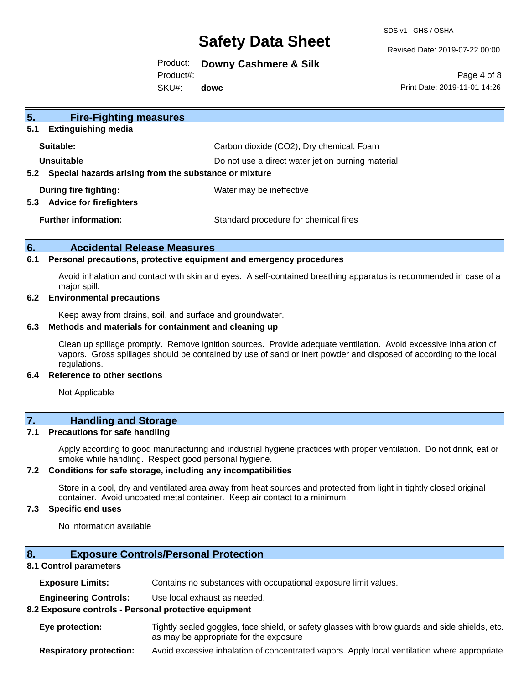SDS v1 GHS / OSHA

Revised Date: 2019-07-22 00:00

Product: **Downy Cashmere & Silk**

Product#:

SKU#: **dowc**

Page 4 of 8 Print Date: 2019-11-01 14:26

| 5.<br><b>Fire-Fighting measures</b>                                    |                                                   |
|------------------------------------------------------------------------|---------------------------------------------------|
| <b>Extinguishing media</b><br>5.1                                      |                                                   |
| Suitable:                                                              | Carbon dioxide (CO2), Dry chemical, Foam          |
| Unsuitable                                                             | Do not use a direct water jet on burning material |
| Special hazards arising from the substance or mixture<br>$5.2^{\circ}$ |                                                   |
| During fire fighting:<br><b>Advice for firefighters</b><br>5.3         | Water may be ineffective                          |
| <b>Further information:</b>                                            | Standard procedure for chemical fires             |

## **6. Accidental Release Measures**

#### **6.1 Personal precautions, protective equipment and emergency procedures**

Avoid inhalation and contact with skin and eyes. A self-contained breathing apparatus is recommended in case of a major spill.

#### **6.2 Environmental precautions**

Keep away from drains, soil, and surface and groundwater.

#### **6.3 Methods and materials for containment and cleaning up**

Clean up spillage promptly. Remove ignition sources. Provide adequate ventilation. Avoid excessive inhalation of vapors. Gross spillages should be contained by use of sand or inert powder and disposed of according to the local regulations.

#### **6.4 Reference to other sections**

Not Applicable

# **7. Handling and Storage**

#### **7.1 Precautions for safe handling**

Apply according to good manufacturing and industrial hygiene practices with proper ventilation. Do not drink, eat or smoke while handling. Respect good personal hygiene.

#### **7.2 Conditions for safe storage, including any incompatibilities**

Store in a cool, dry and ventilated area away from heat sources and protected from light in tightly closed original container. Avoid uncoated metal container. Keep air contact to a minimum.

### **7.3 Specific end uses**

No information available

### **8. Exposure Controls/Personal Protection**

#### **8.1 Control parameters**

**Exposure Limits:** Contains no substances with occupational exposure limit values.

**Engineering Controls:** Use local exhaust as needed.

#### **8.2 Exposure controls - Personal protective equipment**

**Eye protection:** Tightly sealed goggles, face shield, or safety glasses with brow guards and side shields, etc. as may be appropriate for the exposure

**Respiratory protection:** Avoid excessive inhalation of concentrated vapors. Apply local ventilation where appropriate.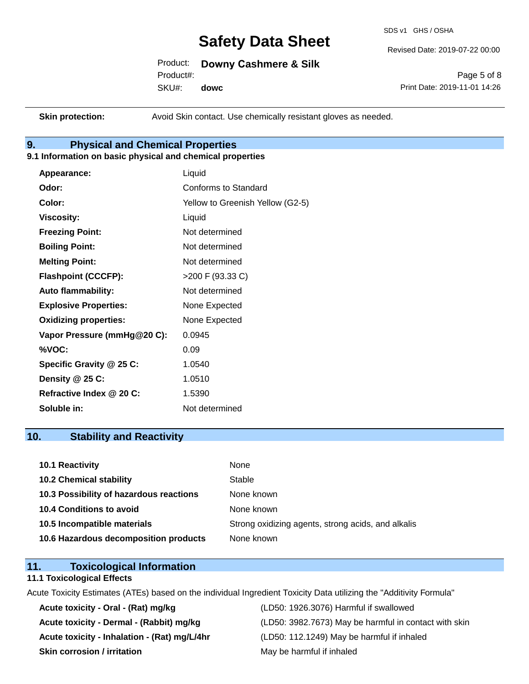SDS v1 GHS / OSHA

Revised Date: 2019-07-22 00:00

Product: **Downy Cashmere & Silk** Product#:

SKU#: **dowc**

Page 5 of 8 Print Date: 2019-11-01 14:26

**Skin protection:** Avoid Skin contact. Use chemically resistant gloves as needed.

# **9. Physical and Chemical Properties**

### **9.1 Information on basic physical and chemical properties**

| Appearance:                  | Liquid                           |
|------------------------------|----------------------------------|
| Odor:                        | Conforms to Standard             |
| Color:                       | Yellow to Greenish Yellow (G2-5) |
| <b>Viscosity:</b>            | Liquid                           |
| <b>Freezing Point:</b>       | Not determined                   |
| <b>Boiling Point:</b>        | Not determined                   |
| <b>Melting Point:</b>        | Not determined                   |
| <b>Flashpoint (CCCFP):</b>   | >200 F (93.33 C)                 |
| <b>Auto flammability:</b>    | Not determined                   |
| <b>Explosive Properties:</b> | None Expected                    |
| <b>Oxidizing properties:</b> | None Expected                    |
| Vapor Pressure (mmHg@20 C):  | 0.0945                           |
| %VOC:                        | 0.09                             |
| Specific Gravity @ 25 C:     | 1.0540                           |
| Density @ 25 C:              | 1.0510                           |
| Refractive Index @ 20 C:     | 1.5390                           |
| Soluble in:                  | Not determined                   |
|                              |                                  |

# **10. Stability and Reactivity**

| 10.1 Reactivity                         | None                                               |
|-----------------------------------------|----------------------------------------------------|
| <b>10.2 Chemical stability</b>          | Stable                                             |
| 10.3 Possibility of hazardous reactions | None known                                         |
| <b>10.4 Conditions to avoid</b>         | None known                                         |
| 10.5 Incompatible materials             | Strong oxidizing agents, strong acids, and alkalis |
| 10.6 Hazardous decomposition products   | None known                                         |

# **11. Toxicological Information**

#### **11.1 Toxicological Effects**

Acute Toxicity Estimates (ATEs) based on the individual Ingredient Toxicity Data utilizing the "Additivity Formula"

**Acute toxicity - Oral - (Rat) mg/kg** (LD50: 1926.3076) Harmful if swallowed **Acute toxicity - Inhalation - (Rat) mg/L/4hr** (LD50: 112.1249) May be harmful if inhaled **Skin corrosion / irritation** May be harmful if inhaled

Acute toxicity - Dermal - (Rabbit) mg/kg<br>
(LD50: 3982.7673) May be harmful in contact with skin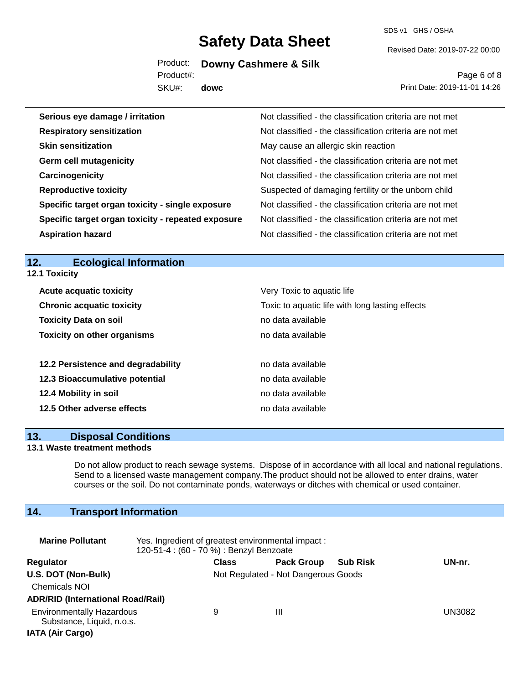SDS v1 GHS / OSHA

Product: **Downy Cashmere & Silk**

Product#:

SKU#: **dowc** Revised Date: 2019-07-22 00:00

Page 6 of 8 Print Date: 2019-11-01 14:26

| Serious eye damage / irritation                    | Not classified - the classification criteria are not met |
|----------------------------------------------------|----------------------------------------------------------|
| <b>Respiratory sensitization</b>                   | Not classified - the classification criteria are not met |
| <b>Skin sensitization</b>                          | May cause an allergic skin reaction                      |
| <b>Germ cell mutagenicity</b>                      | Not classified - the classification criteria are not met |
| Carcinogenicity                                    | Not classified - the classification criteria are not met |
| <b>Reproductive toxicity</b>                       | Suspected of damaging fertility or the unborn child      |
| Specific target organ toxicity - single exposure   | Not classified - the classification criteria are not met |
| Specific target organ toxicity - repeated exposure | Not classified - the classification criteria are not met |
| <b>Aspiration hazard</b>                           | Not classified - the classification criteria are not met |

# **12. Ecological Information**

**12.1 Toxicity**

| <b>Acute acquatic toxicity</b>     | Very Toxic to aquatic life                      |
|------------------------------------|-------------------------------------------------|
| <b>Chronic acquatic toxicity</b>   | Toxic to aquatic life with long lasting effects |
| <b>Toxicity Data on soil</b>       | no data available                               |
| <b>Toxicity on other organisms</b> | no data available                               |
|                                    |                                                 |
| 12.2 Persistence and degradability | no data available                               |
| 12.3 Bioaccumulative potential     | no data available                               |
| 12.4 Mobility in soil              | no data available                               |
| 12.5 Other adverse effects         | no data available                               |

#### **13. Disposal Conditions**

#### **13.1 Waste treatment methods**

Do not allow product to reach sewage systems. Dispose of in accordance with all local and national regulations. Send to a licensed waste management company.The product should not be allowed to enter drains, water courses or the soil. Do not contaminate ponds, waterways or ditches with chemical or used container.

# **14. Transport Information**

| <b>Marine Pollutant</b>                                                                  | Yes. Ingredient of greatest environmental impact:<br>120-51-4 : (60 - 70 %) : Benzyl Benzoate |                                     |                   |                 |        |
|------------------------------------------------------------------------------------------|-----------------------------------------------------------------------------------------------|-------------------------------------|-------------------|-----------------|--------|
| Regulator                                                                                |                                                                                               | <b>Class</b>                        | <b>Pack Group</b> | <b>Sub Risk</b> | UN-nr. |
| U.S. DOT (Non-Bulk)<br><b>Chemicals NOI</b><br><b>ADR/RID (International Road/Rail)</b>  |                                                                                               | Not Regulated - Not Dangerous Goods |                   |                 |        |
| <b>Environmentally Hazardous</b><br>Substance, Liquid, n.o.s.<br><b>IATA (Air Cargo)</b> |                                                                                               | 9                                   | Ш                 |                 | UN3082 |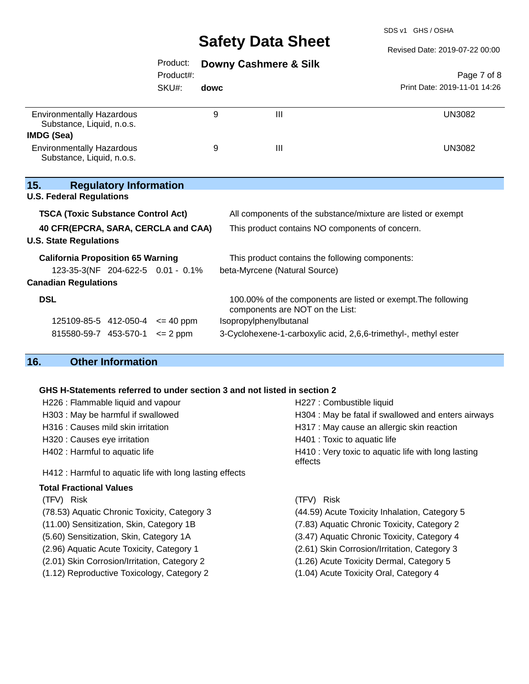SDS v1 GHS / OSHA

#### Revised Date: 2019-07-22 00:00

# Product: **Downy Cashmere & Silk**

Product#:

SKU#: **dowc**

Page 7 of 8 Print Date: 2019-11-01 14:26

| <b>Environmentally Hazardous</b><br>Substance, Liquid, n.o.s. | Ш | UN3082 |
|---------------------------------------------------------------|---|--------|
| IMDG (Sea)                                                    |   |        |
| <b>Environmentally Hazardous</b><br>Substance, Liquid, n.o.s. | Ш | UN3082 |
|                                                               |   |        |

## **15. Regulatory Information**

| <b>U.S. Federal Regulations</b> |  |
|---------------------------------|--|
|---------------------------------|--|

| <b>TSCA (Toxic Substance Control Act)</b> | All components of the substance/mixture are listed or exempt                                     |  |
|-------------------------------------------|--------------------------------------------------------------------------------------------------|--|
| 40 CFR(EPCRA, SARA, CERCLA and CAA)       | This product contains NO components of concern.                                                  |  |
| <b>U.S. State Regulations</b>             |                                                                                                  |  |
| <b>California Proposition 65 Warning</b>  | This product contains the following components:                                                  |  |
| 123-35-3(NF 204-622-5 0.01 - 0.1%         | beta-Myrcene (Natural Source)                                                                    |  |
| <b>Canadian Regulations</b>               |                                                                                                  |  |
| <b>DSL</b>                                | 100.00% of the components are listed or exempt. The following<br>components are NOT on the List: |  |
| 125109-85-5 412-050-4<br>$\leq$ 40 ppm    | Isopropylphenylbutanal                                                                           |  |
| 815580-59-7 453-570-1<br>$\leq$ 2 ppm     | 3-Cyclohexene-1-carboxylic acid, 2,6,6-trimethyl-, methyl ester                                  |  |

# **16. Other Information**

## **GHS H-Statements referred to under section 3 and not listed in section 2**

| H226 : Flammable liquid and vapour                       | H227 : Combustible liquid                                      |
|----------------------------------------------------------|----------------------------------------------------------------|
| H303 : May be harmful if swallowed                       | H304 : May be fatal if swallowed and enters airways            |
| H316 : Causes mild skin irritation                       | H317 : May cause an allergic skin reaction                     |
| H320 : Causes eye irritation                             | H401 : Toxic to aquatic life                                   |
| H402 : Harmful to aquatic life                           | H410 : Very toxic to aquatic life with long lasting<br>effects |
| H412 : Harmful to aquatic life with long lasting effects |                                                                |
| Total Fractional Values                                  |                                                                |
| (TFV) Risk                                               | (TFV) Risk                                                     |
| (78.53) Aquatic Chronic Toxicity, Category 3             | (44.59) Acute Toxicity Inhalation, Category 5                  |
| (11.00) Sensitization, Skin, Category 1B                 | (7.83) Aquatic Chronic Toxicity, Category 2                    |
| (5.60) Sensitization, Skin, Category 1A                  | (3.47) Aquatic Chronic Toxicity, Category 4                    |
| (2.96) Aquatic Acute Toxicity, Category 1                | (2.61) Skin Corrosion/Irritation, Category 3                   |
| (2.01) Skin Corrosion/Irritation, Category 2             | (1.26) Acute Toxicity Dermal, Category 5                       |
| (1.12) Reproductive Toxicology, Category 2               | (1.04) Acute Toxicity Oral, Category 4                         |
|                                                          |                                                                |